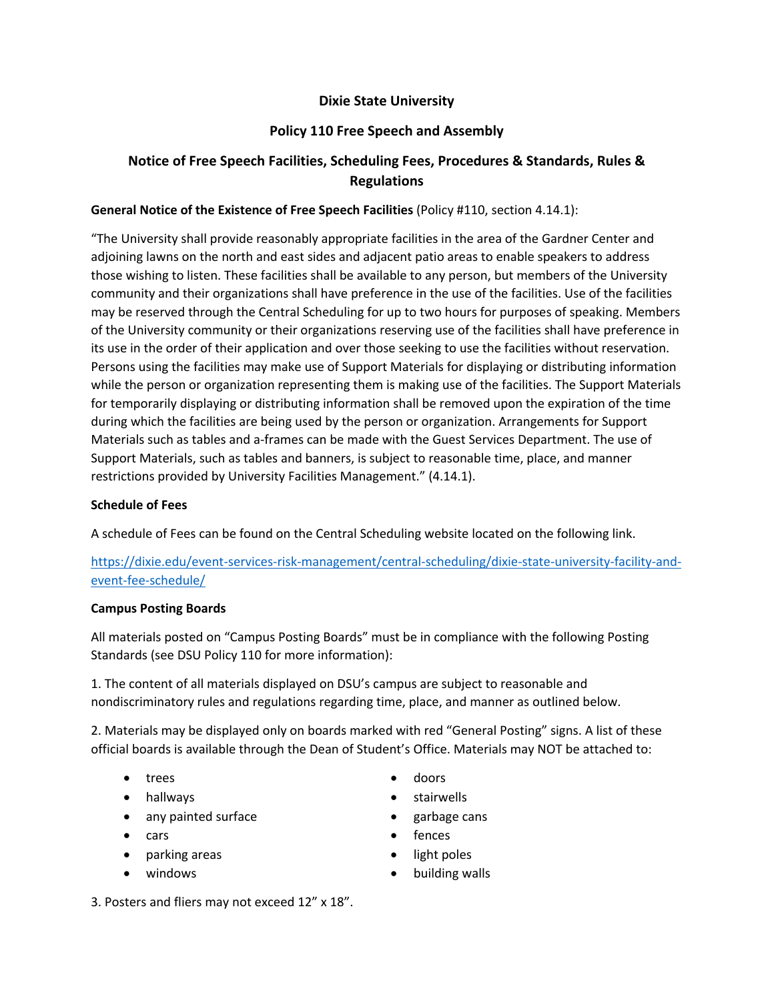## **Dixie State University**

## **Policy 110 Free Speech and Assembly**

# **Notice of Free Speech Facilities, Scheduling Fees, Procedures & Standards, Rules & Regulations**

## **General Notice of the Existence of Free Speech Facilities** (Policy #110, section 4.14.1):

"The University shall provide reasonably appropriate facilities in the area of the Gardner Center and adjoining lawns on the north and east sides and adjacent patio areas to enable speakers to address those wishing to listen. These facilities shall be available to any person, but members of the University community and their organizations shall have preference in the use of the facilities. Use of the facilities may be reserved through the Central Scheduling for up to two hours for purposes of speaking. Members of the University community or their organizations reserving use of the facilities shall have preference in its use in the order of their application and over those seeking to use the facilities without reservation. Persons using the facilities may make use of Support Materials for displaying or distributing information while the person or organization representing them is making use of the facilities. The Support Materials for temporarily displaying or distributing information shall be removed upon the expiration of the time during which the facilities are being used by the person or organization. Arrangements for Support Materials such as tables and a-frames can be made with the Guest Services Department. The use of Support Materials, such as tables and banners, is subject to reasonable time, place, and manner restrictions provided by University Facilities Management." (4.14.1).

### **Schedule of Fees**

A schedule of Fees can be found on the Central Scheduling website located on the following link.

https://dixie.edu/event-services-risk-management/central-scheduling/dixie-state-university-facility-andevent-fee-schedule/

### **Campus Posting Boards**

All materials posted on "Campus Posting Boards" must be in compliance with the following Posting Standards (see DSU Policy 110 for more information):

1. The content of all materials displayed on DSU's campus are subject to reasonable and nondiscriminatory rules and regulations regarding time, place, and manner as outlined below.

2. Materials may be displayed only on boards marked with red "General Posting" signs. A list of these official boards is available through the Dean of Student's Office. Materials may NOT be attached to:

- trees
- hallways
- any painted surface
- cars
- parking areas
- windows
- doors
- stairwells
- garbage cans
- fences
- light poles
- building walls

3. Posters and fliers may not exceed 12" x 18".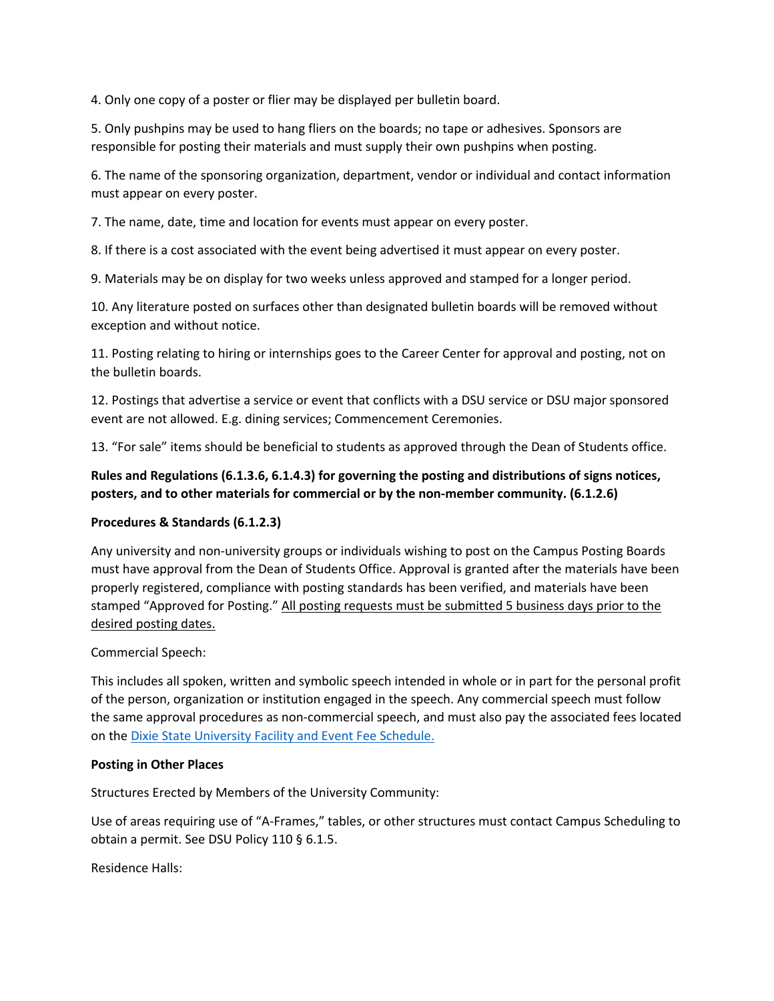4. Only one copy of a poster or flier may be displayed per bulletin board.

5. Only pushpins may be used to hang fliers on the boards; no tape or adhesives. Sponsors are responsible for posting their materials and must supply their own pushpins when posting.

6. The name of the sponsoring organization, department, vendor or individual and contact information must appear on every poster.

7. The name, date, time and location for events must appear on every poster.

8. If there is a cost associated with the event being advertised it must appear on every poster.

9. Materials may be on display for two weeks unless approved and stamped for a longer period.

10. Any literature posted on surfaces other than designated bulletin boards will be removed without exception and without notice.

11. Posting relating to hiring or internships goes to the Career Center for approval and posting, not on the bulletin boards.

12. Postings that advertise a service or event that conflicts with a DSU service or DSU major sponsored event are not allowed. E.g. dining services; Commencement Ceremonies.

13. "For sale" items should be beneficial to students as approved through the Dean of Students office.

## **Rules and Regulations (6.1.3.6, 6.1.4.3) for governing the posting and distributions of signs notices, posters, and to other materials for commercial or by the non-member community. (6.1.2.6)**

## **Procedures & Standards (6.1.2.3)**

Any university and non-university groups or individuals wishing to post on the Campus Posting Boards must have approval from the Dean of Students Office. Approval is granted after the materials have been properly registered, compliance with posting standards has been verified, and materials have been stamped "Approved for Posting." All posting requests must be submitted 5 business days prior to the desired posting dates.

### Commercial Speech:

This includes all spoken, written and symbolic speech intended in whole or in part for the personal profit of the person, organization or institution engaged in the speech. Any commercial speech must follow the same approval procedures as non-commercial speech, and must also pay the associated fees located on the Dixie State University Facility and Event Fee Schedule.

### **Posting in Other Places**

Structures Erected by Members of the University Community:

Use of areas requiring use of "A-Frames," tables, or other structures must contact Campus Scheduling to obtain a permit. See DSU Policy 110 § 6.1.5.

Residence Halls: